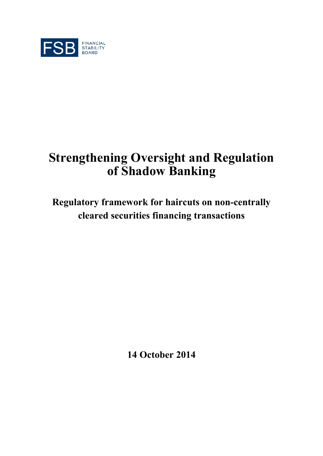

# **Strengthening Oversight and Regulation of Shadow Banking**

# **Regulatory framework for haircuts on non-centrally cleared securities financing transactions**

**14 October 2014**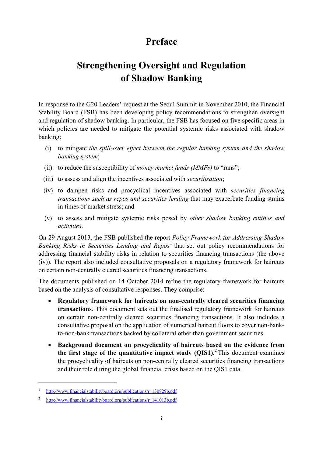# **Preface**

# **Strengthening Oversight and Regulation of Shadow Banking**

In response to the G20 Leaders' request at the Seoul Summit in November 2010, the Financial Stability Board (FSB) has been developing policy recommendations to strengthen oversight and regulation of shadow banking. In particular, the FSB has focused on five specific areas in which policies are needed to mitigate the potential systemic risks associated with shadow banking:

- (i) to mitigate *the spill-over effect between the regular banking system and the shadow banking system*;
- (ii) to reduce the susceptibility of *money market funds (MMFs)* to "runs";
- (iii) to assess and align the incentives associated with *securitisation*;
- (iv) to dampen risks and procyclical incentives associated with *securities financing transactions such as repos and securities lending* that may exacerbate funding strains in times of market stress; and
- (v) to assess and mitigate systemic risks posed by *other shadow banking entities and activities*.

On 29 August 2013, the FSB published the report *Policy Framework for Addressing Shadow Banking Risks in Securities Lending and Repos*<sup>1</sup> that set out policy recommendations for addressing financial stability risks in relation to securities financing transactions (the above (iv)). The report also included consultative proposals on a regulatory framework for haircuts on certain non-centrally cleared securities financing transactions.

The documents published on 14 October 2014 refine the regulatory framework for haircuts based on the analysis of consultative responses. They comprise:

- **Regulatory framework for haircuts on non-centrally cleared securities financing transactions.** This document sets out the finalised regulatory framework for haircuts on certain non-centrally cleared securities financing transactions. It also includes a consultative proposal on the application of numerical haircut floors to cover non-bankto-non-bank transactions backed by collateral other than government securities.
- **Background document on procyclicality of haircuts based on the evidence from the first stage of the quantitative impact study (QIS1).** <sup>2</sup> This document examines the procyclicality of haircuts on non-centrally cleared securities financing transactions and their role during the global financial crisis based on the QIS1 data.

<sup>&</sup>lt;sup>1</sup> http://www.financialstabilityboard.org/publications/r 130829b.pdf

[http://www.financialstabilityboard.org/publications/r\\_141013b.pdf](http://www.financialstabilityboard.org/publications/r_141013b.pdf)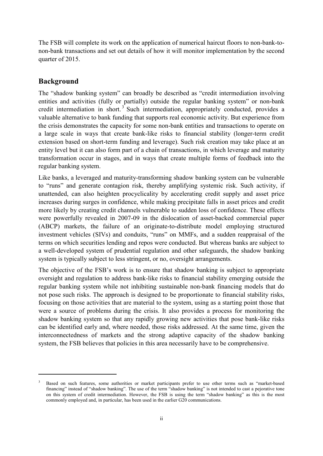The FSB will complete its work on the application of numerical haircut floors to non-bank-tonon-bank transactions and set out details of how it will monitor implementation by the second quarter of 2015.

# **Background**

-

The "shadow banking system" can broadly be described as "credit intermediation involving entities and activities (fully or partially) outside the regular banking system" or non-bank credit intermediation in short.<sup>3</sup> Such intermediation, appropriately conducted, provides a valuable alternative to bank funding that supports real economic activity. But experience from the crisis demonstrates the capacity for some non-bank entities and transactions to operate on a large scale in ways that create bank-like risks to financial stability (longer-term credit extension based on short-term funding and leverage). Such risk creation may take place at an entity level but it can also form part of a chain of transactions, in which leverage and maturity transformation occur in stages, and in ways that create multiple forms of feedback into the regular banking system.

Like banks, a leveraged and maturity-transforming shadow banking system can be vulnerable to "runs" and generate contagion risk, thereby amplifying systemic risk. Such activity, if unattended, can also heighten procyclicality by accelerating credit supply and asset price increases during surges in confidence, while making precipitate falls in asset prices and credit more likely by creating credit channels vulnerable to sudden loss of confidence. These effects were powerfully revealed in 2007-09 in the dislocation of asset-backed commercial paper (ABCP) markets, the failure of an originate-to-distribute model employing structured investment vehicles (SIVs) and conduits, "runs" on MMFs, and a sudden reappraisal of the terms on which securities lending and repos were conducted. But whereas banks are subject to a well-developed system of prudential regulation and other safeguards, the shadow banking system is typically subject to less stringent, or no, oversight arrangements.

The objective of the FSB's work is to ensure that shadow banking is subject to appropriate oversight and regulation to address bank-like risks to financial stability emerging outside the regular banking system while not inhibiting sustainable non-bank financing models that do not pose such risks. The approach is designed to be proportionate to financial stability risks, focusing on those activities that are material to the system, using as a starting point those that were a source of problems during the crisis. It also provides a process for monitoring the shadow banking system so that any rapidly growing new activities that pose bank-like risks can be identified early and, where needed, those risks addressed. At the same time, given the interconnectedness of markets and the strong adaptive capacity of the shadow banking system, the FSB believes that policies in this area necessarily have to be comprehensive.

<sup>3</sup> Based on such features, some authorities or market participants prefer to use other terms such as "market-based financing" instead of "shadow banking". The use of the term "shadow banking" is not intended to cast a pejorative tone on this system of credit intermediation. However, the FSB is using the term "shadow banking" as this is the most commonly employed and, in particular, has been used in the earlier G20 communications.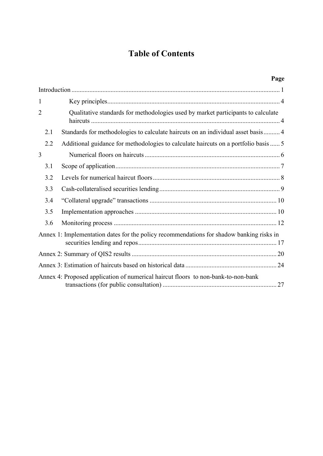# **Table of Contents**

|                |                                                                                          | Page |
|----------------|------------------------------------------------------------------------------------------|------|
|                |                                                                                          |      |
| $\mathbf{1}$   |                                                                                          |      |
| $\overline{2}$ | Qualitative standards for methodologies used by market participants to calculate         |      |
| 2.1            | Standards for methodologies to calculate haircuts on an individual asset basis 4         |      |
| 2.2            | Additional guidance for methodologies to calculate haircuts on a portfolio basis  5      |      |
| 3              |                                                                                          |      |
| 3.1            |                                                                                          |      |
| 3.2            |                                                                                          |      |
| 3.3            |                                                                                          |      |
| 3.4            |                                                                                          |      |
| 3.5            |                                                                                          |      |
| 3.6            |                                                                                          |      |
|                | Annex 1: Implementation dates for the policy recommendations for shadow banking risks in |      |
|                |                                                                                          |      |
|                |                                                                                          |      |
|                | Annex 4: Proposed application of numerical haircut floors to non-bank-to-non-bank        |      |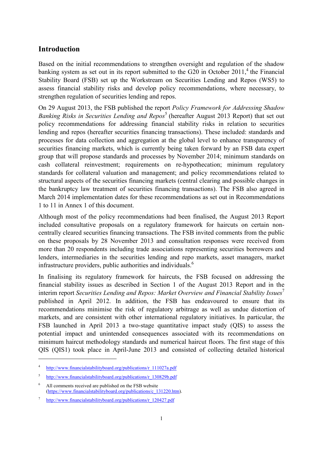# <span id="page-5-0"></span>**Introduction**

Based on the initial recommendations to strengthen oversight and regulation of the shadow banking system as set out in its report submitted to the G20 in October 2011,<sup>4</sup> the Financial Stability Board (FSB) set up the Workstream on Securities Lending and Repos (WS5) to assess financial stability risks and develop policy recommendations, where necessary, to strengthen regulation of securities lending and repos.

On 29 August 2013, the FSB published the report *Policy Framework for Addressing Shadow Banking Risks in Securities Lending and Repos*<sup>5</sup> (hereafter August 2013 Report) that set out policy recommendations for addressing financial stability risks in relation to securities lending and repos (hereafter securities financing transactions). These included: standards and processes for data collection and aggregation at the global level to enhance transparency of securities financing markets, which is currently being taken forward by an FSB data expert group that will propose standards and processes by November 2014; minimum standards on cash collateral reinvestment; requirements on re-hypothecation; minimum regulatory standards for collateral valuation and management; and policy recommendations related to structural aspects of the securities financing markets (central clearing and possible changes in the bankruptcy law treatment of securities financing transactions). The FSB also agreed in March 2014 implementation dates for these recommendations as set out in Recommendations 1 to 11 in Annex 1 of this document.

Although most of the policy recommendations had been finalised, the August 2013 Report included consultative proposals on a regulatory framework for haircuts on certain noncentrally cleared securities financing transactions. The FSB invited comments from the public on these proposals by 28 November 2013 and consultation responses were received from more than 20 respondents including trade associations representing securities borrowers and lenders, intermediaries in the securities lending and repo markets, asset managers, market infrastructure providers, public authorities and individuals. 6

In finalising its regulatory framework for haircuts, the FSB focused on addressing the financial stability issues as described in Section 1 of the August 2013 Report and in the interim report *Securities Lending and Repos: Market Overview and Financial Stability Issues*<sup>7</sup> published in April 2012. In addition, the FSB has endeavoured to ensure that its recommendations minimise the risk of regulatory arbitrage as well as undue distortion of markets, and are consistent with other international regulatory initiatives. In particular, the FSB launched in April 2013 a two-stage quantitative impact study (QIS) to assess the potential impact and unintended consequences associated with its recommendations on minimum haircut methodology standards and numerical haircut floors. The first stage of this QIS (QIS1) took place in April-June 2013 and consisted of collecting detailed historical

<sup>4</sup> [http://www.financialstabilityboard.org/publications/r\\_111027a.pdf](http://www.financialstabilityboard.org/publications/r_111027a.pdf)

<sup>5</sup> [http://www.financialstabilityboard.org/publications/r\\_130829b.pdf](http://www.financialstabilityboard.org/publications/r_130829b.pdf)

<sup>6</sup> All comments received are published on the FSB website [\(https://www.financialstabilityboard.org/publications/c\\_131220.htm\)](https://www.financialstabilityboard.org/publications/c_131220.htm).

[http://www.financialstabilityboard.org/publications/r\\_120427.pdf](http://www.financialstabilityboard.org/publications/r_120427.pdf)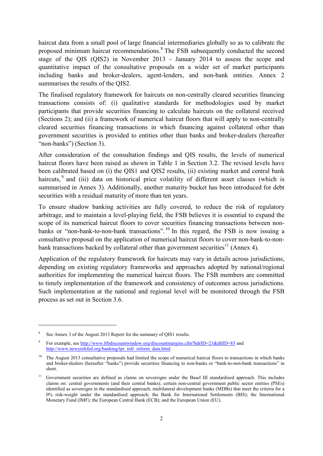haircut data from a small pool of large financial intermediaries globally so as to calibrate the proposed minimum haircut recommendations.<sup>8</sup> The FSB subsequently conducted the second stage of the QIS (QIS2) in November 2013 - January 2014 to assess the scope and quantitative impact of the consultative proposals on a wider set of market participants including banks and broker-dealers, agent-lenders, and non-bank entities. Annex 2 summarises the results of the QIS2.

The finalised regulatory framework for haircuts on non-centrally cleared securities financing transactions consists of: (i) qualitative standards for methodologies used by market participants that provide securities financing to calculate haircuts on the collateral received (Sections 2); and (ii) a framework of numerical haircut floors that will apply to non-centrally cleared securities financing transactions in which financing against collateral other than government securities is provided to entities other than banks and broker-dealers (hereafter "non-banks") (Section 3).

After consideration of the consultation findings and QIS results, the levels of numerical haircut floors have been raised as shown in Table 1 in Section 3.2. The revised levels have been calibrated based on (i) the QIS1 and QIS2 results, (ii) existing market and central bank haircuts, <sup>9</sup> and (iii) data on historical price volatility of different asset classes (which is summarised in Annex 3). Additionally, another maturity bucket has been introduced for debt securities with a residual maturity of more than ten years.

To ensure shadow banking activities are fully covered, to reduce the risk of regulatory arbitrage, and to maintain a level-playing field, the FSB believes it is essential to expand the scope of its numerical haircut floors to cover securities financing transactions between nonbanks or "non-bank-to-non-bank transactions".<sup>10</sup> In this regard, the FSB is now issuing a consultative proposal on the application of numerical haircut floors to cover non-bank-to-nonbank transactions backed by collateral other than government securities<sup>11</sup> (Annex 4).

Application of the regulatory framework for haircuts may vary in details across jurisdictions, depending on existing regulatory frameworks and approaches adopted by national/regional authorities for implementing the numerical haircut floors. The FSB members are committed to timely implementation of the framework and consistency of outcomes across jurisdictions. Such implementation at the national and regional level will be monitored through the FSB process as set out in Section 3.6.

<sup>8</sup> See Annex 3 of the August 2013 Report for the summary of QIS1 results.

<sup>9</sup> For example, se[e http://www.frbdiscountwindow.org/discountmargins.cfm?hdrID=21&dtlID=83](http://www.frbdiscountwindow.org/discountmargins.cfm?hdrID=21&dtlID=83) and [http://www.newyorkfed.org/banking/tpr\\_infr\\_reform\\_data.html.](http://www.newyorkfed.org/banking/tpr_infr_reform_data.html) 

<sup>10</sup> The August 2013 consultative proposals had limited the scope of numerical haircut floors to transactions in which banks and broker-dealers (hereafter "banks") provide securities financing to non-banks or "bank-to-non-bank transactions" in short.

<sup>11</sup> Government securities are defined as claims on sovereigns under the Basel III standardised approach. This includes claims on: central governments (and their central banks); certain non-central government public sector entities (PSEs) identified as sovereigns in the standardised approach; multilateral development banks (MDBs) that meet the criteria for a 0% risk-weight under the standardised approach; the Bank for International Settlements (BIS); the International Monetary Fund (IMF); the European Central Bank (ECB); and the European Union (EU).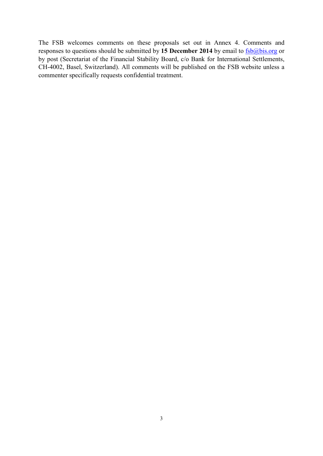The FSB welcomes comments on these proposals set out in Annex 4. Comments and responses to questions should be submitted by 15 December 2014 by email to  $\frac{fsb@bis.org}{fsb@bis.org}$  or by post (Secretariat of the Financial Stability Board, c/o Bank for International Settlements, CH-4002, Basel, Switzerland). All comments will be published on the FSB website unless a commenter specifically requests confidential treatment.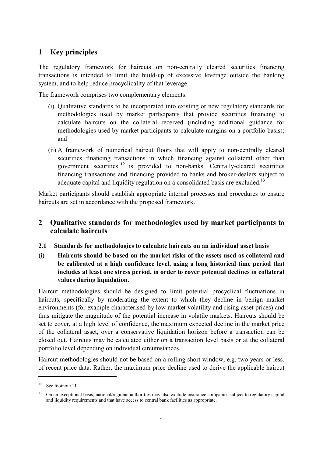# <span id="page-8-0"></span>**1 Key principles**

The regulatory framework for haircuts on non-centrally cleared securities financing transactions is intended to limit the build-up of excessive leverage outside the banking system, and to help reduce procyclicality of that leverage.

The framework comprises two complementary elements:

- (i) Qualitative standards to be incorporated into existing or new regulatory standards for methodologies used by market participants that provide securities financing to calculate haircuts on the collateral received (including additional guidance for methodologies used by market participants to calculate margins on a portfolio basis); and
- (ii) A framework of numerical haircut floors that will apply to non-centrally cleared securities financing transactions in which financing against collateral other than government securities <sup>12</sup> is provided to non-banks. Centrally-cleared securities financing transactions and financing provided to banks and broker-dealers subject to adequate capital and liquidity regulation on a consolidated basis are excluded.<sup>13</sup>

Market participants should establish appropriate internal processes and procedures to ensure haircuts are set in accordance with the proposed framework.

# <span id="page-8-1"></span>**2 Qualitative standards for methodologies used by market participants to calculate haircuts**

- <span id="page-8-2"></span>**2.1 Standards for methodologies to calculate haircuts on an individual asset basis**
- **(i) Haircuts should be based on the market risks of the assets used as collateral and be calibrated at a high confidence level, using a long historical time period that includes at least one stress period, in order to cover potential declines in collateral values during liquidation.**

Haircut methodologies should be designed to limit potential procyclical fluctuations in haircuts, specifically by moderating the extent to which they decline in benign market environments (for example characterised by low market volatility and rising asset prices) and thus mitigate the magnitude of the potential increase in volatile markets. Haircuts should be set to cover, at a high level of confidence, the maximum expected decline in the market price of the collateral asset, over a conservative liquidation horizon before a transaction can be closed out. Haircuts may be calculated either on a transaction level basis or at the collateral portfolio level depending on individual circumstances.

Haircut methodologies should not be based on a rolling short window, e.g. two years or less, of recent price data. Rather, the maximum price decline used to derive the applicable haircut

<u>.</u>

<sup>&</sup>lt;sup>12</sup> See footnote 11.

<sup>&</sup>lt;sup>13</sup> On an exceptional basis, national/regional authorities may also exclude insurance companies subject to regulatory capital and liquidity requirements and that have access to central bank facilities as appropriate.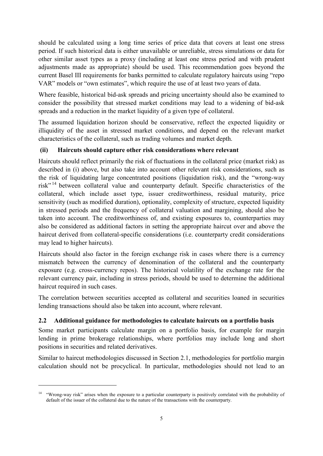should be calculated using a long time series of price data that covers at least one stress period. If such historical data is either unavailable or unreliable, stress simulations or data for other similar asset types as a proxy (including at least one stress period and with prudent adjustments made as appropriate) should be used. This recommendation goes beyond the current Basel III requirements for banks permitted to calculate regulatory haircuts using "repo VAR" models or "own estimates", which require the use of at least two years of data.

Where feasible, historical bid-ask spreads and pricing uncertainty should also be examined to consider the possibility that stressed market conditions may lead to a widening of bid-ask spreads and a reduction in the market liquidity of a given type of collateral.

The assumed liquidation horizon should be conservative, reflect the expected liquidity or illiquidity of the asset in stressed market conditions, and depend on the relevant market characteristics of the collateral, such as trading volumes and market depth.

## **(ii) Haircuts should capture other risk considerations where relevant**

Haircuts should reflect primarily the risk of fluctuations in the collateral price (market risk) as described in (i) above, but also take into account other relevant risk considerations, such as the risk of liquidating large concentrated positions (liquidation risk), and the "wrong-way risk" <sup>14</sup> between collateral value and counterparty default. Specific characteristics of the collateral, which include asset type, issuer creditworthiness, residual maturity, price sensitivity (such as modified duration), optionality, complexity of structure, expected liquidity in stressed periods and the frequency of collateral valuation and margining, should also be taken into account. The creditworthiness of, and existing exposures to, counterparties may also be considered as additional factors in setting the appropriate haircut over and above the haircut derived from collateral-specific considerations (i.e. counterparty credit considerations may lead to higher haircuts).

Haircuts should also factor in the foreign exchange risk in cases where there is a currency mismatch between the currency of denomination of the collateral and the counterparty exposure (e.g. cross-currency repos). The historical volatility of the exchange rate for the relevant currency pair, including in stress periods, should be used to determine the additional haircut required in such cases.

The correlation between securities accepted as collateral and securities loaned in securities lending transactions should also be taken into account, where relevant.

## <span id="page-9-0"></span>**2.2 Additional guidance for methodologies to calculate haircuts on a portfolio basis**

Some market participants calculate margin on a portfolio basis, for example for margin lending in prime brokerage relationships, where portfolios may include long and short positions in securities and related derivatives.

Similar to haircut methodologies discussed in Section 2.1, methodologies for portfolio margin calculation should not be procyclical. In particular, methodologies should not lead to an

<sup>&</sup>lt;sup>14</sup> "Wrong-way risk" arises when the exposure to a particular counterparty is positively correlated with the probability of default of the issuer of the collateral due to the nature of the transactions with the counterparty.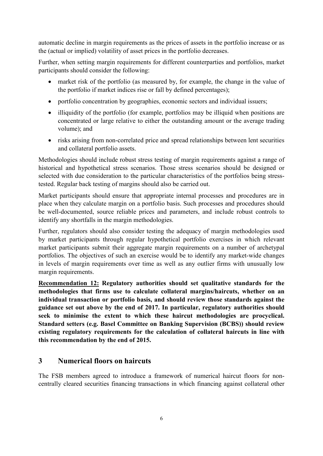automatic decline in margin requirements as the prices of assets in the portfolio increase or as the (actual or implied) volatility of asset prices in the portfolio decreases.

Further, when setting margin requirements for different counterparties and portfolios, market participants should consider the following:

- market risk of the portfolio (as measured by, for example, the change in the value of the portfolio if market indices rise or fall by defined percentages);
- portfolio concentration by geographies, economic sectors and individual issuers;
- illiquidity of the portfolio (for example, portfolios may be illiquid when positions are concentrated or large relative to either the outstanding amount or the average trading volume); and
- risks arising from non-correlated price and spread relationships between lent securities and collateral portfolio assets.

Methodologies should include robust stress testing of margin requirements against a range of historical and hypothetical stress scenarios. Those stress scenarios should be designed or selected with due consideration to the particular characteristics of the portfolios being stresstested. Regular back testing of margins should also be carried out.

Market participants should ensure that appropriate internal processes and procedures are in place when they calculate margin on a portfolio basis. Such processes and procedures should be well-documented, source reliable prices and parameters, and include robust controls to identify any shortfalls in the margin methodologies.

Further, regulators should also consider testing the adequacy of margin methodologies used by market participants through regular hypothetical portfolio exercises in which relevant market participants submit their aggregate margin requirements on a number of archetypal portfolios. The objectives of such an exercise would be to identify any market-wide changes in levels of margin requirements over time as well as any outlier firms with unusually low margin requirements.

**Recommendation 12: Regulatory authorities should set qualitative standards for the methodologies that firms use to calculate collateral margins/haircuts, whether on an individual transaction or portfolio basis, and should review those standards against the guidance set out above by the end of 2017. In particular, regulatory authorities should seek to minimise the extent to which these haircut methodologies are procyclical. Standard setters (e.g. Basel Committee on Banking Supervision (BCBS)) should review existing regulatory requirements for the calculation of collateral haircuts in line with this recommendation by the end of 2015.**

# <span id="page-10-0"></span>**3 Numerical floors on haircuts**

The FSB members agreed to introduce a framework of numerical haircut floors for noncentrally cleared securities financing transactions in which financing against collateral other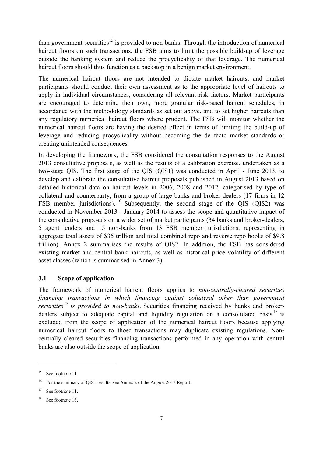than government securities<sup>15</sup> is provided to non-banks. Through the introduction of numerical haircut floors on such transactions, the FSB aims to limit the possible build-up of leverage outside the banking system and reduce the procyclicality of that leverage. The numerical haircut floors should thus function as a backstop in a benign market environment.

The numerical haircut floors are not intended to dictate market haircuts, and market participants should conduct their own assessment as to the appropriate level of haircuts to apply in individual circumstances, considering all relevant risk factors. Market participants are encouraged to determine their own, more granular risk-based haircut schedules, in accordance with the methodology standards as set out above, and to set higher haircuts than any regulatory numerical haircut floors where prudent. The FSB will monitor whether the numerical haircut floors are having the desired effect in terms of limiting the build-up of leverage and reducing procyclicality without becoming the de facto market standards or creating unintended consequences.

In developing the framework, the FSB considered the consultation responses to the August 2013 consultative proposals, as well as the results of a calibration exercise, undertaken as a two-stage QIS. The first stage of the QIS (QIS1) was conducted in April - June 2013, to develop and calibrate the consultative haircut proposals published in August 2013 based on detailed historical data on haircut levels in 2006, 2008 and 2012, categorised by type of collateral and counterparty, from a group of large banks and broker-dealers (17 firms in 12 FSB member jurisdictions). <sup>16</sup> Subsequently, the second stage of the QIS (QIS2) was conducted in November 2013 - January 2014 to assess the scope and quantitative impact of the consultative proposals on a wider set of market participants (34 banks and broker-dealers, 5 agent lenders and 15 non-banks from 13 FSB member jurisdictions, representing in aggregate total assets of \$35 trillion and total combined repo and reverse repo books of \$9.8 trillion). Annex 2 summarises the results of QIS2. In addition, the FSB has considered existing market and central bank haircuts, as well as historical price volatility of different asset classes (which is summarised in Annex 3).

## <span id="page-11-0"></span>**3.1 Scope of application**

The framework of numerical haircut floors applies to *non-centrally-cleared securities financing transactions in which financing against collateral other than government securities<sup>17</sup> is provided to non-banks*. Securities financing received by banks and brokerdealers subject to adequate capital and liquidity regulation on a consolidated basis  $18$  is excluded from the scope of application of the numerical haircut floors because applying numerical haircut floors to those transactions may duplicate existing regulations. Noncentrally cleared securities financing transactions performed in any operation with central banks are also outside the scope of application.

<sup>&</sup>lt;sup>15</sup> See footnote 11.

<sup>16</sup> For the summary of QIS1 results, see Annex 2 of the August 2013 Report.

 $17$  See footnote 11.

<sup>&</sup>lt;sup>18</sup> See footnote 13.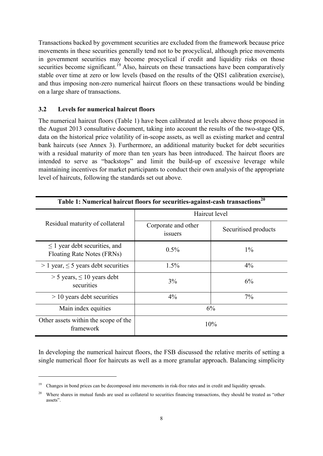Transactions backed by government securities are excluded from the framework because price movements in these securities generally tend not to be procyclical, although price movements in government securities may become procyclical if credit and liquidity risks on those securities become significant.<sup>19</sup> Also, haircuts on these transactions have been comparatively stable over time at zero or low levels (based on the results of the QIS1 calibration exercise), and thus imposing non-zero numerical haircut floors on these transactions would be binding on a large share of transactions.

#### <span id="page-12-0"></span>**3.2 Levels for numerical haircut floors**

<u>.</u>

The numerical haircut floors (Table 1) have been calibrated at levels above those proposed in the August 2013 consultative document, taking into account the results of the two-stage QIS, data on the historical price volatility of in-scope assets, as well as existing market and central bank haircuts (see Annex 3). Furthermore, an additional maturity bucket for debt securities with a residual maturity of more than ten years has been introduced. The haircut floors are intended to serve as "backstops" and limit the build-up of excessive leverage while maintaining incentives for market participants to conduct their own analysis of the appropriate level of haircuts, following the standards set out above.

| Table 1: Numerical haircut floors for securities-against-cash transactions <sup>20</sup> |                                       |                      |  |  |  |
|------------------------------------------------------------------------------------------|---------------------------------------|----------------------|--|--|--|
|                                                                                          | Haircut level                         |                      |  |  |  |
| Residual maturity of collateral                                                          | Corporate and other<br><i>s</i> suers | Securitised products |  |  |  |
| $\leq$ 1 year debt securities, and<br>Floating Rate Notes (FRNs)                         | $0.5\%$                               | $1\%$                |  |  |  |
| $> 1$ year, $\leq 5$ years debt securities                                               | 1.5%                                  | $4\%$                |  |  |  |
| $>$ 5 years, $\leq$ 10 years debt<br>securities                                          | 3%                                    | 6%                   |  |  |  |
| $> 10$ years debt securities                                                             | $4\%$                                 | $7\%$                |  |  |  |
| Main index equities                                                                      | 6%                                    |                      |  |  |  |
| Other assets within the scope of the<br>framework                                        | 10%                                   |                      |  |  |  |

In developing the numerical haircut floors, the FSB discussed the relative merits of setting a single numerical floor for haircuts as well as a more granular approach. Balancing simplicity

<sup>19</sup> Changes in bond prices can be decomposed into movements in risk-free rates and in credit and liquidity spreads.

<sup>20</sup> Where shares in mutual funds are used as collateral to securities financing transactions, they should be treated as "other assets".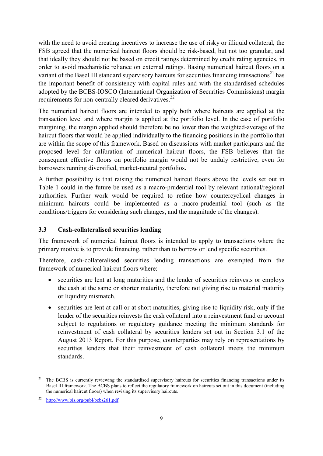with the need to avoid creating incentives to increase the use of risky or illiquid collateral, the FSB agreed that the numerical haircut floors should be risk-based, but not too granular, and that ideally they should not be based on credit ratings determined by credit rating agencies, in order to avoid mechanistic reliance on external ratings. Basing numerical haircut floors on a variant of the Basel III standard supervisory haircuts for securities financing transactions<sup>21</sup> has the important benefit of consistency with capital rules and with the standardised schedules adopted by the BCBS-IOSCO (International Organization of Securities Commissions) margin requirements for non-centrally cleared derivatives.<sup>22</sup>

The numerical haircut floors are intended to apply both where haircuts are applied at the transaction level and where margin is applied at the portfolio level. In the case of portfolio margining, the margin applied should therefore be no lower than the weighted-average of the haircut floors that would be applied individually to the financing positions in the portfolio that are within the scope of this framework. Based on discussions with market participants and the proposed level for calibration of numerical haircut floors, the FSB believes that the consequent effective floors on portfolio margin would not be unduly restrictive, even for borrowers running diversified, market-neutral portfolios.

A further possibility is that raising the numerical haircut floors above the levels set out in Table 1 could in the future be used as a macro-prudential tool by relevant national/regional authorities. Further work would be required to refine how countercyclical changes in minimum haircuts could be implemented as a macro-prudential tool (such as the conditions/triggers for considering such changes, and the magnitude of the changes).

## <span id="page-13-0"></span>**3.3 Cash-collateralised securities lending**

The framework of numerical haircut floors is intended to apply to transactions where the primary motive is to provide financing, rather than to borrow or lend specific securities.

Therefore, cash-collateralised securities lending transactions are exempted from the framework of numerical haircut floors where:

- securities are lent at long maturities and the lender of securities reinvests or employs the cash at the same or shorter maturity, therefore not giving rise to material maturity or liquidity mismatch.
- securities are lent at call or at short maturities, giving rise to liquidity risk, only if the lender of the securities reinvests the cash collateral into a reinvestment fund or account subject to regulations or regulatory guidance meeting the minimum standards for reinvestment of cash collateral by securities lenders set out in Section 3.1 of the August 2013 Report. For this purpose, counterparties may rely on representations by securities lenders that their reinvestment of cash collateral meets the minimum standards.

<sup>&</sup>lt;sup>21</sup> The BCBS is currently reviewing the standardised supervisory haircuts for securities financing transactions under its Basel III framework. The BCBS plans to reflect the regulatory framework on haircuts set out in this document (including the numerical haircut floors) when revising its supervisory haircuts.

<sup>22</sup> <http://www.bis.org/publ/bcbs261.pdf>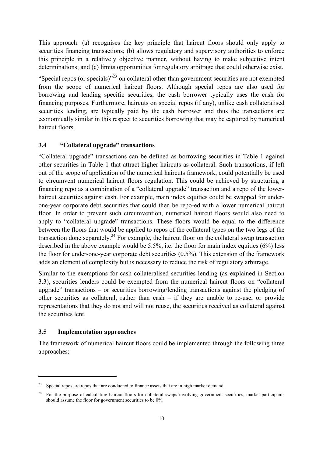This approach: (a) recognises the key principle that haircut floors should only apply to securities financing transactions; (b) allows regulatory and supervisory authorities to enforce this principle in a relatively objective manner, without having to make subjective intent determinations; and (c) limits opportunities for regulatory arbitrage that could otherwise exist.

"Special repos (or specials)"<sup>23</sup> on collateral other than government securities are not exempted from the scope of numerical haircut floors. Although special repos are also used for borrowing and lending specific securities, the cash borrower typically uses the cash for financing purposes. Furthermore, haircuts on special repos (if any), unlike cash collateralised securities lending, are typically paid by the cash borrower and thus the transactions are economically similar in this respect to securities borrowing that may be captured by numerical haircut floors.

#### <span id="page-14-0"></span>**3.4 "Collateral upgrade" transactions**

"Collateral upgrade" transactions can be defined as borrowing securities in Table 1 against other securities in Table 1 that attract higher haircuts as collateral. Such transactions, if left out of the scope of application of the numerical haircuts framework, could potentially be used to circumvent numerical haircut floors regulation. This could be achieved by structuring a financing repo as a combination of a "collateral upgrade" transaction and a repo of the lowerhaircut securities against cash. For example, main index equities could be swapped for underone-year corporate debt securities that could then be repo-ed with a lower numerical haircut floor. In order to prevent such circumvention, numerical haircut floors would also need to apply to "collateral upgrade" transactions. These floors would be equal to the difference between the floors that would be applied to repos of the collateral types on the two legs of the transaction done separately.<sup>24</sup> For example, the haircut floor on the collateral swap transaction described in the above example would be 5.5%, i.e. the floor for main index equities (6%) less the floor for under-one-year corporate debt securities (0.5%). This extension of the framework adds an element of complexity but is necessary to reduce the risk of regulatory arbitrage.

Similar to the exemptions for cash collateralised securities lending (as explained in Section 3.3), securities lenders could be exempted from the numerical haircut floors on "collateral upgrade" transactions – or securities borrowing/lending transactions against the pledging of other securities as collateral, rather than cash – if they are unable to re-use, or provide representations that they do not and will not reuse, the securities received as collateral against the securities lent.

#### <span id="page-14-1"></span>**3.5 Implementation approaches**

<u>.</u>

The framework of numerical haircut floors could be implemented through the following three approaches:

Special repos are repos that are conducted to finance assets that are in high market demand.

<sup>24</sup> For the purpose of calculating haircut floors for collateral swaps involving government securities, market participants should assume the floor for government securities to be 0%.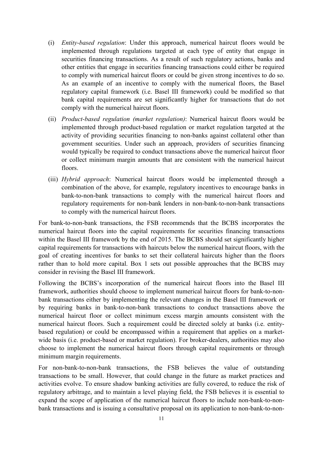- (i) *Entity-based regulation*: Under this approach, numerical haircut floors would be implemented through regulations targeted at each type of entity that engage in securities financing transactions. As a result of such regulatory actions, banks and other entities that engage in securities financing transactions could either be required to comply with numerical haircut floors or could be given strong incentives to do so. As an example of an incentive to comply with the numerical floors, the Basel regulatory capital framework (i.e. Basel III framework) could be modified so that bank capital requirements are set significantly higher for transactions that do not comply with the numerical haircut floors.
- (ii) *Product-based regulation (market regulation)*: Numerical haircut floors would be implemented through product-based regulation or market regulation targeted at the activity of providing securities financing to non-banks against collateral other than government securities. Under such an approach, providers of securities financing would typically be required to conduct transactions above the numerical haircut floor or collect minimum margin amounts that are consistent with the numerical haircut floors.
- (iii) *Hybrid approach*: Numerical haircut floors would be implemented through a combination of the above, for example, regulatory incentives to encourage banks in bank-to-non-bank transactions to comply with the numerical haircut floors and regulatory requirements for non-bank lenders in non-bank-to-non-bank transactions to comply with the numerical haircut floors.

For bank-to-non-bank transactions, the FSB recommends that the BCBS incorporates the numerical haircut floors into the capital requirements for securities financing transactions within the Basel III framework by the end of 2015. The BCBS should set significantly higher capital requirements for transactions with haircuts below the numerical haircut floors, with the goal of creating incentives for banks to set their collateral haircuts higher than the floors rather than to hold more capital. Box 1 sets out possible approaches that the BCBS may consider in revising the Basel III framework.

Following the BCBS's incorporation of the numerical haircut floors into the Basel III framework, authorities should choose to implement numerical haircut floors for bank-to-nonbank transactions either by implementing the relevant changes in the Basel III framework or by requiring banks in bank-to-non-bank transactions to conduct transactions above the numerical haircut floor or collect minimum excess margin amounts consistent with the numerical haircut floors. Such a requirement could be directed solely at banks (i.e. entitybased regulation) or could be encompassed within a requirement that applies on a marketwide basis (i.e. product-based or market regulation). For broker-dealers, authorities may also choose to implement the numerical haircut floors through capital requirements or through minimum margin requirements.

For non-bank-to-non-bank transactions, the FSB believes the value of outstanding transactions to be small. However, that could change in the future as market practices and activities evolve. To ensure shadow banking activities are fully covered, to reduce the risk of regulatory arbitrage, and to maintain a level playing field, the FSB believes it is essential to expand the scope of application of the numerical haircut floors to include non-bank-to-nonbank transactions and is issuing a consultative proposal on its application to non-bank-to-non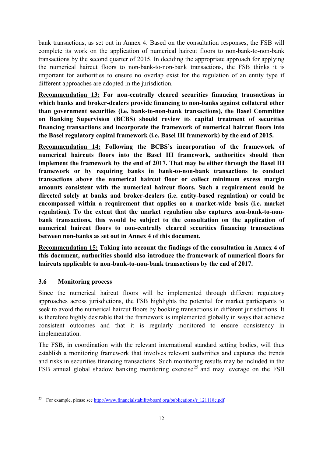bank transactions, as set out in Annex 4. Based on the consultation responses, the FSB will complete its work on the application of numerical haircut floors to non-bank-to-non-bank transactions by the second quarter of 2015. In deciding the appropriate approach for applying the numerical haircut floors to non-bank-to-non-bank transactions, the FSB thinks it is important for authorities to ensure no overlap exist for the regulation of an entity type if different approaches are adopted in the jurisdiction.

**Recommendation 13: For non-centrally cleared securities financing transactions in which banks and broker-dealers provide financing to non-banks against collateral other than government securities (i.e. bank-to-non-bank transactions), the Basel Committee on Banking Supervision (BCBS) should review its capital treatment of securities financing transactions and incorporate the framework of numerical haircut floors into the Basel regulatory capital framework (i.e. Basel III framework) by the end of 2015.**

**Recommendation 14: Following the BCBS's incorporation of the framework of numerical haircuts floors into the Basel III framework, authorities should then implement the framework by the end of 2017. That may be either through the Basel III framework or by requiring banks in bank-to-non-bank transactions to conduct transactions above the numerical haircut floor or collect minimum excess margin amounts consistent with the numerical haircut floors. Such a requirement could be directed solely at banks and broker-dealers (i.e. entity-based regulation) or could be encompassed within a requirement that applies on a market-wide basis (i.e. market regulation). To the extent that the market regulation also captures non-bank-to-nonbank transactions, this would be subject to the consultation on the application of numerical haircut floors to non-centrally cleared securities financing transactions between non-banks as set out in Annex 4 of this document.**

**Recommendation 15: Taking into account the findings of the consultation in Annex 4 of this document, authorities should also introduce the framework of numerical floors for haircuts applicable to non-bank-to-non-bank transactions by the end of 2017.**

## <span id="page-16-0"></span>**3.6 Monitoring process**

<u>.</u>

Since the numerical haircut floors will be implemented through different regulatory approaches across jurisdictions, the FSB highlights the potential for market participants to seek to avoid the numerical haircut floors by booking transactions in different jurisdictions. It is therefore highly desirable that the framework is implemented globally in ways that achieve consistent outcomes and that it is regularly monitored to ensure consistency in implementation.

The FSB, in coordination with the relevant international standard setting bodies, will thus establish a monitoring framework that involves relevant authorities and captures the trends and risks in securities financing transactions. Such monitoring results may be included in the FSB annual global shadow banking monitoring exercise<sup>25</sup> and may leverage on the FSB

For example, please see [http://www.financialstabilityboard.org/publications/r\\_121118c.pdf.](http://www.financialstabilityboard.org/publications/r_121118c.pdf)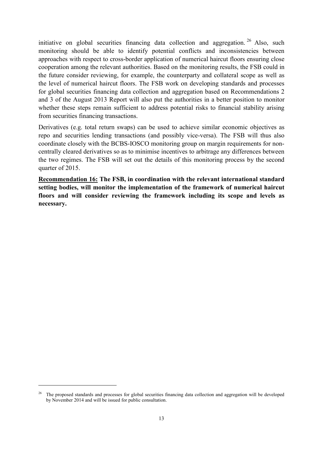initiative on global securities financing data collection and aggregation.<sup>26</sup> Also, such monitoring should be able to identify potential conflicts and inconsistencies between approaches with respect to cross-border application of numerical haircut floors ensuring close cooperation among the relevant authorities. Based on the monitoring results, the FSB could in the future consider reviewing, for example, the counterparty and collateral scope as well as the level of numerical haircut floors. The FSB work on developing standards and processes for global securities financing data collection and aggregation based on Recommendations 2 and 3 of the August 2013 Report will also put the authorities in a better position to monitor whether these steps remain sufficient to address potential risks to financial stability arising from securities financing transactions.

Derivatives (e.g. total return swaps) can be used to achieve similar economic objectives as repo and securities lending transactions (and possibly vice-versa). The FSB will thus also coordinate closely with the BCBS-IOSCO monitoring group on margin requirements for noncentrally cleared derivatives so as to minimise incentives to arbitrage any differences between the two regimes. The FSB will set out the details of this monitoring process by the second quarter of 2015.

**Recommendation 16: The FSB, in coordination with the relevant international standard setting bodies, will monitor the implementation of the framework of numerical haircut floors and will consider reviewing the framework including its scope and levels as necessary.**

<sup>26</sup> The proposed standards and processes for global securities financing data collection and aggregation will be developed by November 2014 and will be issued for public consultation.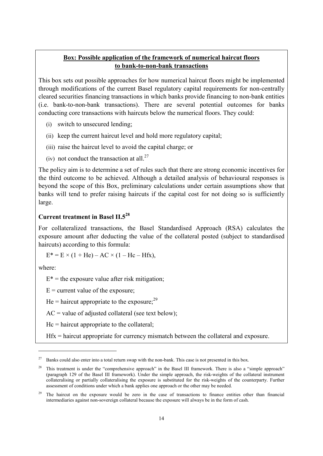## **Box: Possible application of the framework of numerical haircut floors to bank-to-non-bank transactions**

This box sets out possible approaches for how numerical haircut floors might be implemented through modifications of the current Basel regulatory capital requirements for non-centrally cleared securities financing transactions in which banks provide financing to non-bank entities (i.e. bank-to-non-bank transactions). There are several potential outcomes for banks conducting core transactions with haircuts below the numerical floors. They could:

- (i) switch to unsecured lending;
- (ii) keep the current haircut level and hold more regulatory capital;
- (iii) raise the haircut level to avoid the capital charge; or
- (iv) not conduct the transaction at all  $27$

The policy aim is to determine a set of rules such that there are strong economic incentives for the third outcome to be achieved. Although a detailed analysis of behavioural responses is beyond the scope of this Box, preliminary calculations under certain assumptions show that banks will tend to prefer raising haircuts if the capital cost for not doing so is sufficiently large.

## **Current treatment in Basel II.5<sup>28</sup>**

For collateralized transactions, the Basel Standardised Approach (RSA) calculates the exposure amount after deducting the value of the collateral posted (subject to standardised haircuts) according to this formula:

$$
E^* = E \times (1 + He) - AC \times (1 - He - Hfx),
$$

where:

-

 $E^*$  = the exposure value after risk mitigation;

 $E =$  current value of the exposure;

He = haircut appropriate to the exposure; $^{29}$ 

 $AC =$  value of adjusted collateral (see text below);

Hc = haircut appropriate to the collateral;

Hfx = haircut appropriate for currency mismatch between the collateral and exposure.

<sup>&</sup>lt;sup>27</sup> Banks could also enter into a total return swap with the non-bank. This case is not presented in this box.

<sup>&</sup>lt;sup>28</sup> This treatment is under the "comprehensive approach" in the Basel III framework. There is also a "simple approach" (paragraph 129 of the Basel III framework). Under the simple approach, the risk-weights of the collateral instrument collateralising or partially collateralising the exposure is substituted for the risk-weights of the counterparty. Further assessment of conditions under which a bank applies one approach or the other may be needed.

<sup>&</sup>lt;sup>29</sup> The haircut on the exposure would be zero in the case of transactions to finance entities other than financial intermediaries against non-sovereign collateral because the exposure will always be in the form of cash.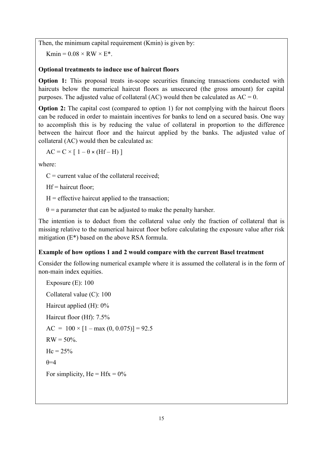Then, the minimum capital requirement (Kmin) is given by:

 $Kmin = 0.08 \times RW \times E^*$ .

## **Optional treatments to induce use of haircut floors**

**Option 1:** This proposal treats in-scope securities financing transactions conducted with haircuts below the numerical haircut floors as unsecured (the gross amount) for capital purposes. The adjusted value of collateral (AC) would then be calculated as  $AC = 0$ .

**Option 2:** The capital cost (compared to option 1) for not complying with the haircut floors can be reduced in order to maintain incentives for banks to lend on a secured basis. One way to accomplish this is by reducing the value of collateral in proportion to the difference between the haircut floor and the haircut applied by the banks. The adjusted value of collateral (AC) would then be calculated as:

$$
AC = C \times [1 - \theta \times (Hf - H)]
$$

where:

 $C =$  current value of the collateral received;

 $Hf =$  haircut floor:

 $H =$  effective haircut applied to the transaction;

 $\theta$  = a parameter that can be adjusted to make the penalty harsher.

The intention is to deduct from the collateral value only the fraction of collateral that is missing relative to the numerical haircut floor before calculating the exposure value after risk mitigation (E\*) based on the above RSA formula.

## **Example of how options 1 and 2 would compare with the current Basel treatment**

Consider the following numerical example where it is assumed the collateral is in the form of non-main index equities.

Exposure (E): 100 Collateral value (C): 100 Haircut applied (H): 0% Haircut floor (Hf): 7.5% AC =  $100 \times [1 - max(0, 0.075)] = 92.5$  $RW = 50\%$ .  $He = 25%$  $\theta = 4$ For simplicity,  $He = Hfx = 0\%$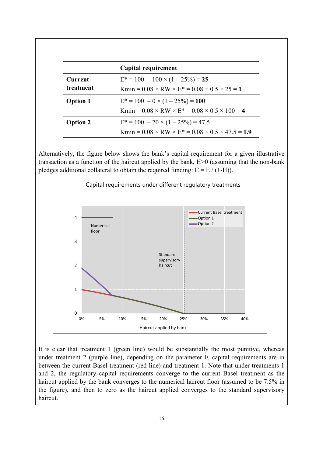|                 | Capital requirement                                                              |
|-----------------|----------------------------------------------------------------------------------|
| Current         | $E^* = 100 - 100 \times (1 - 25\%) = 25$                                         |
| treatment       | $Kmin = 0.08 \times RW \times E^* = 0.08 \times 0.5 \times 25 = 1$               |
| <b>Option 1</b> | $E^* = 100 - 0 \times (1 - 25\%) = 100$                                          |
|                 | Kmin = $0.08 \times \text{RW} \times \text{E*} = 0.08 \times 0.5 \times 100 = 4$ |
| <b>Option 2</b> | $E^* = 100 - 70 \times (1 - 25\%) = 47.5$                                        |
|                 | $Kmin = 0.08 \times RW \times E^* = 0.08 \times 0.5 \times 47.5 = 1.9$           |

Alternatively, the figure below shows the bank's capital requirement for a given illustrative transaction as a function of the haircut applied by the bank, H>0 (assuming that the non-bank pledges additional collateral to obtain the required funding:  $C = E / (1-H)$ ).



It is clear that treatment 1 (green line) would be substantially the most punitive, whereas under treatment 2 (purple line), depending on the parameter  $\theta$ , capital requirements are in between the current Basel treatment (red line) and treatment 1. Note that under treatments 1 and 2, the regulatory capital requirements converge to the current Basel treatment as the haircut applied by the bank converges to the numerical haircut floor (assumed to be 7.5% in the figure), and then to zero as the haircut applied converges to the standard supervisory haircut.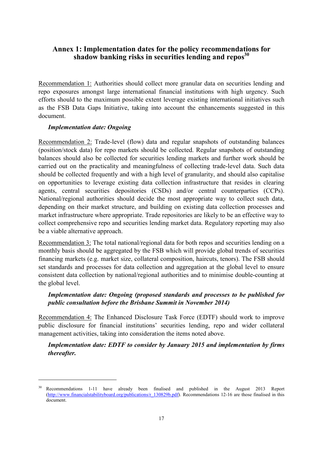# <span id="page-21-0"></span>**Annex 1: Implementation dates for the policy recommendations for** shadow banking risks in securities lending and repos<sup>30</sup>

Recommendation 1: Authorities should collect more granular data on securities lending and repo exposures amongst large international financial institutions with high urgency. Such efforts should to the maximum possible extent leverage existing international initiatives such as the FSB Data Gaps Initiative, taking into account the enhancements suggested in this document.

#### *Implementation date: Ongoing*

<u>.</u>

Recommendation 2: Trade-level (flow) data and regular snapshots of outstanding balances (position/stock data) for repo markets should be collected. Regular snapshots of outstanding balances should also be collected for securities lending markets and further work should be carried out on the practicality and meaningfulness of collecting trade-level data. Such data should be collected frequently and with a high level of granularity, and should also capitalise on opportunities to leverage existing data collection infrastructure that resides in clearing agents, central securities depositories (CSDs) and/or central counterparties (CCPs). National/regional authorities should decide the most appropriate way to collect such data, depending on their market structure, and building on existing data collection processes and market infrastructure where appropriate. Trade repositories are likely to be an effective way to collect comprehensive repo and securities lending market data. Regulatory reporting may also be a viable alternative approach.

Recommendation 3: The total national/regional data for both repos and securities lending on a monthly basis should be aggregated by the FSB which will provide global trends of securities financing markets (e.g. market size, collateral composition, haircuts, tenors). The FSB should set standards and processes for data collection and aggregation at the global level to ensure consistent data collection by national/regional authorities and to minimise double-counting at the global level.

## *Implementation date: Ongoing (proposed standards and processes to be published for public consultation before the Brisbane Summit in November 2014)*

Recommendation 4: The Enhanced Disclosure Task Force (EDTF) should work to improve public disclosure for financial institutions' securities lending, repo and wider collateral management activities, taking into consideration the items noted above.

*Implementation date: EDTF to consider by January 2015 and implementation by firms thereafter.*

<sup>30</sup> Recommendations 1-11 have already been finalised and published in the August 2013 Report [\(http://www.financialstabilityboard.org/publications/r\\_130829b.pdf\)](http://www.financialstabilityboard.org/publications/r_130829b.pdf). Recommendations 12-16 are those finalised in this document.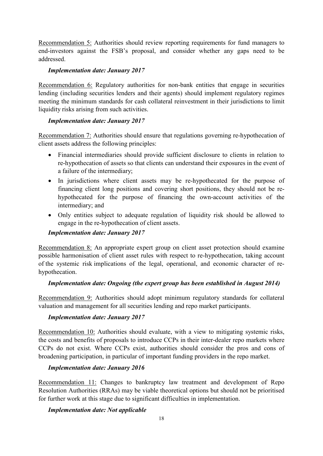Recommendation 5: Authorities should review reporting requirements for fund managers to end-investors against the FSB's proposal, and consider whether any gaps need to be addressed.

#### *Implementation date: January 2017*

Recommendation 6: Regulatory authorities for non-bank entities that engage in securities lending (including securities lenders and their agents) should implement regulatory regimes meeting the minimum standards for cash collateral reinvestment in their jurisdictions to limit liquidity risks arising from such activities.

## *Implementation date: January 2017*

Recommendation 7: Authorities should ensure that regulations governing re-hypothecation of client assets address the following principles:

- Financial intermediaries should provide sufficient disclosure to clients in relation to re-hypothecation of assets so that clients can understand their exposures in the event of a failure of the intermediary;
- In jurisdictions where client assets may be re-hypothecated for the purpose of financing client long positions and covering short positions, they should not be rehypothecated for the purpose of financing the own-account activities of the intermediary; and
- Only entities subject to adequate regulation of liquidity risk should be allowed to engage in the re-hypothecation of client assets.

## *Implementation date: January 2017*

Recommendation 8: An appropriate expert group on client asset protection should examine possible harmonisation of client asset rules with respect to re-hypothecation, taking account of the systemic risk implications of the legal, operational, and economic character of rehypothecation.

## *Implementation date: Ongoing (the expert group has been established in August 2014)*

Recommendation 9: Authorities should adopt minimum regulatory standards for collateral valuation and management for all securities lending and repo market participants.

#### *Implementation date: January 2017*

Recommendation 10: Authorities should evaluate, with a view to mitigating systemic risks, the costs and benefits of proposals to introduce CCPs in their inter-dealer repo markets where CCPs do not exist. Where CCPs exist, authorities should consider the pros and cons of broadening participation, in particular of important funding providers in the repo market.

#### *Implementation date: January 2016*

Recommendation 11: Changes to bankruptcy law treatment and development of Repo Resolution Authorities (RRAs) may be viable theoretical options but should not be prioritised for further work at this stage due to significant difficulties in implementation.

#### *Implementation date: Not applicable*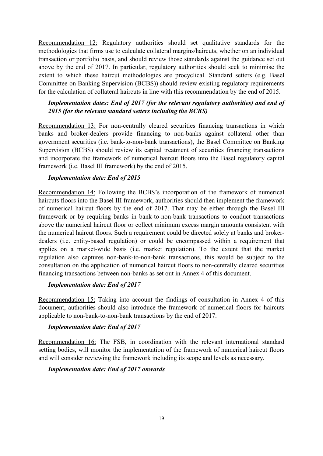Recommendation 12: Regulatory authorities should set qualitative standards for the methodologies that firms use to calculate collateral margins/haircuts, whether on an individual transaction or portfolio basis, and should review those standards against the guidance set out above by the end of 2017. In particular, regulatory authorities should seek to minimise the extent to which these haircut methodologies are procyclical. Standard setters (e.g. Basel Committee on Banking Supervision (BCBS)) should review existing regulatory requirements for the calculation of collateral haircuts in line with this recommendation by the end of 2015.

## *Implementation dates: End of 2017 (for the relevant regulatory authorities) and end of 2015 (for the relevant standard setters including the BCBS)*

Recommendation 13: For non-centrally cleared securities financing transactions in which banks and broker-dealers provide financing to non-banks against collateral other than government securities (i.e. bank-to-non-bank transactions), the Basel Committee on Banking Supervision (BCBS) should review its capital treatment of securities financing transactions and incorporate the framework of numerical haircut floors into the Basel regulatory capital framework (i.e. Basel III framework) by the end of 2015.

#### *Implementation date: End of 2015*

Recommendation 14: Following the BCBS's incorporation of the framework of numerical haircuts floors into the Basel III framework, authorities should then implement the framework of numerical haircut floors by the end of 2017. That may be either through the Basel III framework or by requiring banks in bank-to-non-bank transactions to conduct transactions above the numerical haircut floor or collect minimum excess margin amounts consistent with the numerical haircut floors. Such a requirement could be directed solely at banks and brokerdealers (i.e. entity-based regulation) or could be encompassed within a requirement that applies on a market-wide basis (i.e. market regulation). To the extent that the market regulation also captures non-bank-to-non-bank transactions, this would be subject to the consultation on the application of numerical haircut floors to non-centrally cleared securities financing transactions between non-banks as set out in Annex 4 of this document.

#### *Implementation date: End of 2017*

Recommendation 15: Taking into account the findings of consultation in Annex 4 of this document, authorities should also introduce the framework of numerical floors for haircuts applicable to non-bank-to-non-bank transactions by the end of 2017.

#### *Implementation date: End of 2017*

Recommendation 16: The FSB, in coordination with the relevant international standard setting bodies, will monitor the implementation of the framework of numerical haircut floors and will consider reviewing the framework including its scope and levels as necessary.

#### *Implementation date: End of 2017 onwards*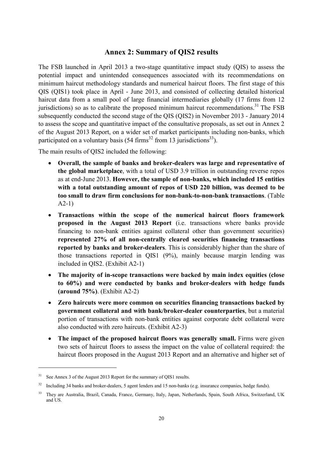### **Annex 2: Summary of QIS2 results**

<span id="page-24-0"></span>The FSB launched in April 2013 a two-stage quantitative impact study (QIS) to assess the potential impact and unintended consequences associated with its recommendations on minimum haircut methodology standards and numerical haircut floors. The first stage of this QIS (QIS1) took place in April - June 2013, and consisted of collecting detailed historical haircut data from a small pool of large financial intermediaries globally (17 firms from 12 jurisdictions) so as to calibrate the proposed minimum haircut recommendations. $31$  The FSB subsequently conducted the second stage of the QIS (QIS2) in November 2013 - January 2014 to assess the scope and quantitative impact of the consultative proposals, as set out in Annex 2 of the August 2013 Report, on a wider set of market participants including non-banks, which participated on a voluntary basis  $(54 \text{ firms}^{32} \text{ from } 13 \text{ just}^{33})$ .

The main results of QIS2 included the following:

- **Overall, the sample of banks and broker-dealers was large and representative of the global marketplace**, with a total of USD 3.9 trillion in outstanding reverse repos as at end-June 2013. **However, the sample of non-banks, which included 15 entities with a total outstanding amount of repos of USD 220 billion, was deemed to be too small to draw firm conclusions for non-bank-to-non-bank transactions**. (Table A2-1)
- **Transactions within the scope of the numerical haircut floors framework proposed in the August 2013 Report** (i.e. transactions where banks provide financing to non-bank entities against collateral other than government securities) **represented 27% of all non-centrally cleared securities financing transactions reported by banks and broker-dealers**. This is considerably higher than the share of those transactions reported in QIS1 (9%), mainly because margin lending was included in QIS2. (Exhibit A2-1)
- **The majority of in-scope transactions were backed by main index equities (close to 60%) and were conducted by banks and broker-dealers with hedge funds (around 75%)**. (Exhibit A2-2)
- **Zero haircuts were more common on securities financing transactions backed by government collateral and with bank/broker-dealer counterparties**, but a material portion of transactions with non-bank entities against corporate debt collateral were also conducted with zero haircuts. (Exhibit A2-3)
- The impact of the proposed haircut floors was generally small. Firms were given two sets of haircut floors to assess the impact on the value of collateral required: the haircut floors proposed in the August 2013 Report and an alternative and higher set of

<sup>&</sup>lt;sup>31</sup> See Annex 3 of the August 2013 Report for the summary of QIS1 results.

<sup>&</sup>lt;sup>32</sup> Including 34 banks and broker-dealers, 5 agent lenders and 15 non-banks (e.g. insurance companies, hedge funds).

<sup>&</sup>lt;sup>33</sup> They are Australia, Brazil, Canada, France, Germany, Italy, Japan, Netherlands, Spain, South Africa, Switzerland, UK and US.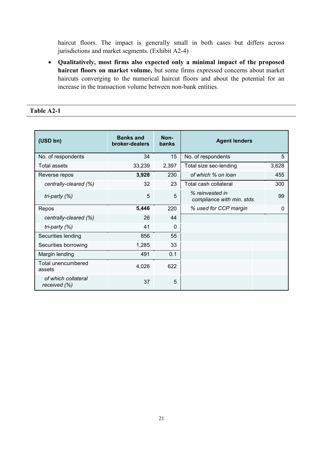haircut floors. The impact is generally small in both cases but differs across jurisdictions and market segments. (Exhibit A2-4)

• **Qualitatively, most firms also expected only a minimal impact of the proposed haircut floors on market volume,** but some firms expressed concerns about market haircuts converging to the numerical haircut floors and about the potential for an increase in the transaction volume between non-bank entities.

#### **Table A2-1**

| (USD bn)                            | <b>Banks and</b><br>broker-dealers | Non-<br>banks | <b>Agent lenders</b>                          |          |
|-------------------------------------|------------------------------------|---------------|-----------------------------------------------|----------|
| No. of respondents                  | 34                                 | 15            | No. of respondents                            | 5        |
| <b>Total assets</b>                 | 33,239                             | 2,397         | Total size sec-lending                        | 3,628    |
| Reverse repos                       | 3,928                              | 230           | of which % on loan                            | 455      |
| centrally-cleared (%)               | 32                                 | 23            | Total cash collateral                         | 300      |
| tri-party (%)                       | 5                                  | 5             | % reinvested in<br>compliance with min. stds. | 99       |
| Repos                               | 5,446                              | 220           | % used for CCP margin                         | $\Omega$ |
| centrally-cleared (%)               | 26                                 | 44            |                                               |          |
| tri-party $(%)$                     | 41                                 | 0             |                                               |          |
| Securities lending                  | 856                                | 55            |                                               |          |
| Securities borrowing                | 1,285                              | 33            |                                               |          |
| Margin lending                      | 491                                | 0.1           |                                               |          |
| Total unencumbered<br>assets        | 4,026                              | 622           |                                               |          |
| of which collateral<br>received (%) | 37                                 | 5             |                                               |          |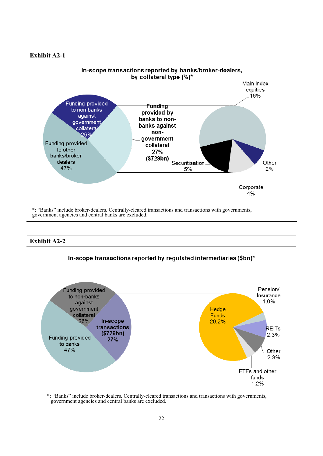#### **Exhibit A2-1**



\*: "Banks" include broker-dealers. Centrally-cleared transactions and transactions with governments, government agencies and central banks are excluded.

#### **Exhibit A2-2**





\*: "Banks" include broker-dealers. Centrally-cleared transactions and transactions with governments, government agencies and central banks are excluded.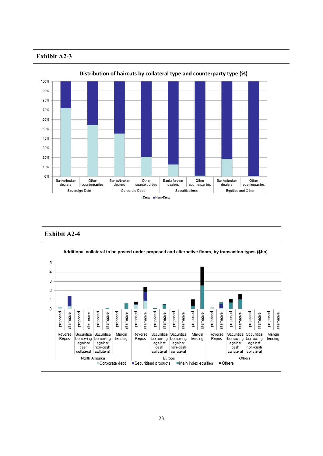#### **Exhibit A2-3**



**Distribution of haircuts by collateral type and counterparty type (%)**

## **Exhibit A2-4**



**Additional collateral to be posted under proposed and alternative floors, by transaction types (\$bn)**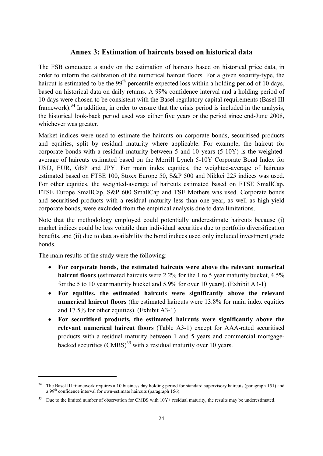## **Annex 3: Estimation of haircuts based on historical data**

<span id="page-28-0"></span>The FSB conducted a study on the estimation of haircuts based on historical price data, in order to inform the calibration of the numerical haircut floors. For a given security-type, the haircut is estimated to be the 99<sup>th</sup> percentile expected loss within a holding period of 10 days, based on historical data on daily returns. A 99% confidence interval and a holding period of 10 days were chosen to be consistent with the Basel regulatory capital requirements (Basel III framework).<sup>34</sup> In addition, in order to ensure that the crisis period is included in the analysis, the historical look-back period used was either five years or the period since end-June 2008, whichever was greater.

Market indices were used to estimate the haircuts on corporate bonds, securitised products and equities, split by residual maturity where applicable. For example, the haircut for corporate bonds with a residual maturity between 5 and 10 years (5-10Y) is the weightedaverage of haircuts estimated based on the Merrill Lynch 5-10Y Corporate Bond Index for USD, EUR, GBP and JPY. For main index equities, the weighted-average of haircuts estimated based on FTSE 100, Stoxx Europe 50, S&P 500 and Nikkei 225 indices was used. For other equities, the weighted-average of haircuts estimated based on FTSE SmallCap, FTSE Europe SmallCap, S&P 600 SmallCap and TSE Mothers was used. Corporate bonds and securitised products with a residual maturity less than one year, as well as high-yield corporate bonds, were excluded from the empirical analysis due to data limitations.

Note that the methodology employed could potentially underestimate haircuts because (i) market indices could be less volatile than individual securities due to portfolio diversification benefits, and (ii) due to data availability the bond indices used only included investment grade bonds.

The main results of the study were the following:

<u>.</u>

- **For corporate bonds, the estimated haircuts were above the relevant numerical haircut floors** (estimated haircuts were 2.2% for the 1 to 5 year maturity bucket, 4.5% for the 5 to 10 year maturity bucket and 5.9% for over 10 years). (Exhibit A3-1)
- **For equities, the estimated haircuts were significantly above the relevant numerical haircut floors** (the estimated haircuts were 13.8% for main index equities and 17.5% for other equities). (Exhibit A3-1)
- **For securitised products, the estimated haircuts were significantly above the relevant numerical haircut floors** (Table A3-1) except for AAA-rated securitised products with a residual maturity between 1 and 5 years and commercial mortgagebacked securities  $(CMBS)^{35}$  with a residual maturity over 10 years.

<sup>&</sup>lt;sup>34</sup> The Basel III framework requires a 10 business day holding period for standard supervisory haircuts (paragraph 151) and a 99th confidence interval for own-estimate haircuts (paragraph 156).

<sup>&</sup>lt;sup>35</sup> Due to the limited number of observation for CMBS with 10Y+ residual maturity, the results may be underestimated.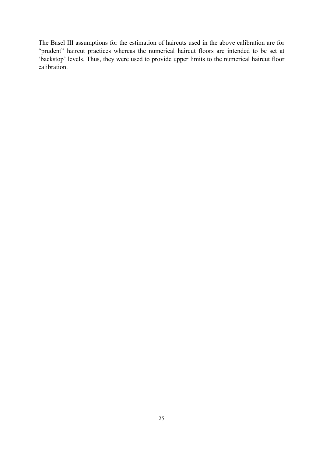The Basel III assumptions for the estimation of haircuts used in the above calibration are for "prudent" haircut practices whereas the numerical haircut floors are intended to be set at 'backstop' levels. Thus, they were used to provide upper limits to the numerical haircut floor calibration.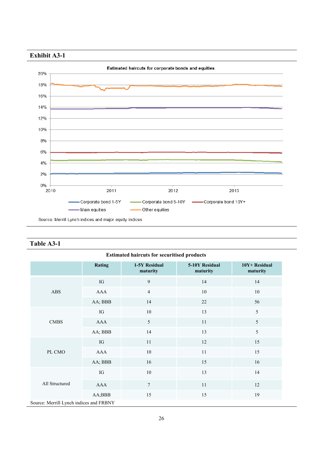**Exhibit A3-1**



#### **Table A3-1**

| <b>Estimated haircuts for securitised products</b> |               |                           |                            |                           |  |  |
|----------------------------------------------------|---------------|---------------------------|----------------------------|---------------------------|--|--|
|                                                    | <b>Rating</b> | 1-5Y Residual<br>maturity | 5-10Y Residual<br>maturity | 10Y+ Residual<br>maturity |  |  |
|                                                    | $\rm IG$      | $\overline{9}$            | 14                         | 14                        |  |  |
| ABS                                                | <b>AAA</b>    | $\overline{4}$            | $10\,$                     | $10\,$                    |  |  |
|                                                    | AA; BBB       | 14                        | $22\,$                     | 56                        |  |  |
|                                                    | IG            | $10\,$                    | 13                         | 5                         |  |  |
| <b>CMBS</b>                                        | AAA           | 5                         | 11                         | 5                         |  |  |
|                                                    | AA; BBB       | 14                        | 13                         | 5                         |  |  |
|                                                    | IG            | 11                        | 12                         | 15                        |  |  |
| PL CMO                                             | AAA           | $10\,$                    | 11                         | 15                        |  |  |
|                                                    | AA; BBB       | 16                        | 15                         | 16                        |  |  |
|                                                    | IG            | $10\,$                    | 13                         | 14                        |  |  |
| All Structured                                     | AAA           | $\overline{7}$            | 11                         | 12                        |  |  |
|                                                    | AA;BBB        | 15                        | 15                         | 19                        |  |  |
| Source: Merrill Lynch indices and FRBNY            |               |                           |                            |                           |  |  |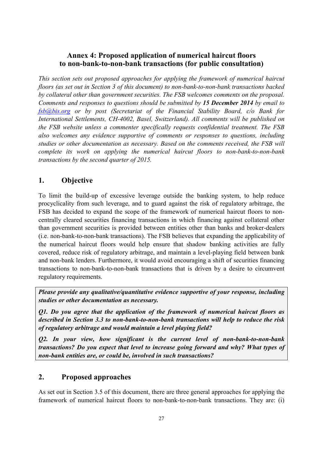# <span id="page-31-0"></span>**Annex 4: Proposed application of numerical haircut floors to non-bank-to-non-bank transactions (for public consultation)**

*This section sets out proposed approaches for applying the framework of numerical haircut floors (as set out in Section 3 of this document) to non-bank-to-non-bank transactions backed by collateral other than government securities. The FSB welcomes comments on the proposal. Comments and responses to questions should be submitted by 15 December 2014 by email to fsb@bis.org or by post (Secretariat of the Financial Stability Board, c/o Bank for International Settlements, CH-4002, Basel, Switzerland). All comments will be published on the FSB website unless a commenter specifically requests confidential treatment. The FSB also welcomes any evidence supportive of comments or responses to questions, including studies or other documentation as necessary. Based on the comments received, the FSB will complete its work on applying the numerical haircut floors to non-bank-to-non-bank transactions by the second quarter of 2015.*

# **1. Objective**

To limit the build-up of excessive leverage outside the banking system, to help reduce procyclicality from such leverage, and to guard against the risk of regulatory arbitrage, the FSB has decided to expand the scope of the framework of numerical haircut floors to noncentrally cleared securities financing transactions in which financing against collateral other than government securities is provided between entities other than banks and broker-dealers (i.e. non-bank-to-non-bank transactions). The FSB believes that expanding the applicability of the numerical haircut floors would help ensure that shadow banking activities are fully covered, reduce risk of regulatory arbitrage, and maintain a level-playing field between bank and non-bank lenders. Furthermore, it would avoid encouraging a shift of securities financing transactions to non-bank-to-non-bank transactions that is driven by a desire to circumvent regulatory requirements.

*Please provide any qualitative/quantitative evidence supportive of your response, including studies or other documentation as necessary.*

*Q1. Do you agree that the application of the framework of numerical haircut floors as described in Section 3.3 to non-bank-to-non-bank transactions will help to reduce the risk of regulatory arbitrage and would maintain a level playing field?*

*Q2. In your view, how significant is the current level of non-bank-to-non-bank transactions? Do you expect that level to increase going forward and why? What types of non-bank entities are, or could be, involved in such transactions?*

# **2. Proposed approaches**

As set out in Section 3.5 of this document, there are three general approaches for applying the framework of numerical haircut floors to non-bank-to-non-bank transactions. They are: (i)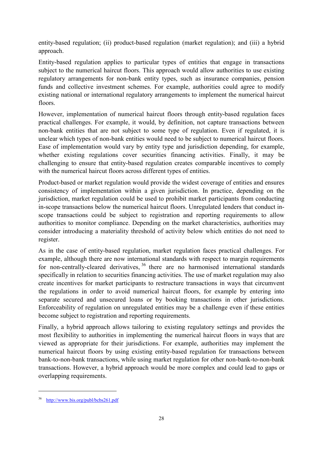entity-based regulation; (ii) product-based regulation (market regulation); and (iii) a hybrid approach.

Entity-based regulation applies to particular types of entities that engage in transactions subject to the numerical haircut floors. This approach would allow authorities to use existing regulatory arrangements for non-bank entity types, such as insurance companies, pension funds and collective investment schemes. For example, authorities could agree to modify existing national or international regulatory arrangements to implement the numerical haircut floors.

However, implementation of numerical haircut floors through entity-based regulation faces practical challenges. For example, it would, by definition, not capture transactions between non-bank entities that are not subject to some type of regulation. Even if regulated, it is unclear which types of non-bank entities would need to be subject to numerical haircut floors. Ease of implementation would vary by entity type and jurisdiction depending, for example, whether existing regulations cover securities financing activities. Finally, it may be challenging to ensure that entity-based regulation creates comparable incentives to comply with the numerical haircut floors across different types of entities.

Product-based or market regulation would provide the widest coverage of entities and ensures consistency of implementation within a given jurisdiction. In practice, depending on the jurisdiction, market regulation could be used to prohibit market participants from conducting in-scope transactions below the numerical haircut floors. Unregulated lenders that conduct inscope transactions could be subject to registration and reporting requirements to allow authorities to monitor compliance. Depending on the market characteristics, authorities may consider introducing a materiality threshold of activity below which entities do not need to register.

As in the case of entity-based regulation, market regulation faces practical challenges. For example, although there are now international standards with respect to margin requirements for non-centrally-cleared derivatives, <sup>36</sup> there are no harmonised international standards specifically in relation to securities financing activities. The use of market regulation may also create incentives for market participants to restructure transactions in ways that circumvent the regulations in order to avoid numerical haircut floors, for example by entering into separate secured and unsecured loans or by booking transactions in other jurisdictions. Enforceability of regulation on unregulated entities may be a challenge even if these entities become subject to registration and reporting requirements.

Finally, a hybrid approach allows tailoring to existing regulatory settings and provides the most flexibility to authorities in implementing the numerical haircut floors in ways that are viewed as appropriate for their jurisdictions. For example, authorities may implement the numerical haircut floors by using existing entity-based regulation for transactions between bank-to-non-bank transactions, while using market regulation for other non-bank-to-non-bank transactions. However, a hybrid approach would be more complex and could lead to gaps or overlapping requirements.

<u>.</u>

<http://www.bis.org/publ/bcbs261.pdf>